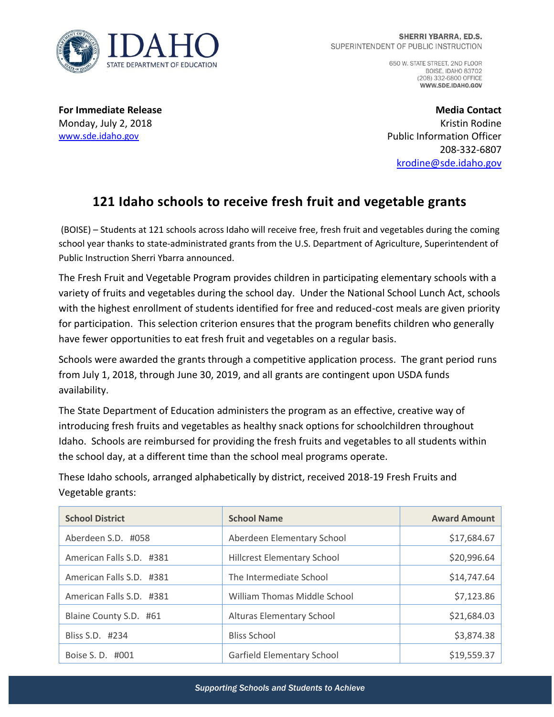

650 W. STATE STREET, 2ND FLOOR **BOISE, IDAHO 83702** (208) 332-6800 OFFICE WWW.SDE.IDAHO.GOV

**For Immediate Release** Monday, July 2, 2018 [www.sde.idaho.gov](http://www.sde.idaho.gov/)

**Media Contact** Kristin Rodine Public Information Officer 208-332-6807 [krodine@sde.idaho.gov](mailto:krodine@sde.idaho.gov)

## **121 Idaho schools to receive fresh fruit and vegetable grants**

(BOISE) – Students at 121 schools across Idaho will receive free, fresh fruit and vegetables during the coming school year thanks to state-administrated grants from the U.S. Department of Agriculture, Superintendent of Public Instruction Sherri Ybarra announced.

The Fresh Fruit and Vegetable Program provides children in participating elementary schools with a variety of fruits and vegetables during the school day. Under the National School Lunch Act, schools with the highest enrollment of students identified for free and reduced-cost meals are given priority for participation. This selection criterion ensures that the program benefits children who generally have fewer opportunities to eat fresh fruit and vegetables on a regular basis.

Schools were awarded the grants through a competitive application process. The grant period runs from July 1, 2018, through June 30, 2019, and all grants are contingent upon USDA funds availability.

The State Department of Education administers the program as an effective, creative way of introducing fresh fruits and vegetables as healthy snack options for schoolchildren throughout Idaho. Schools are reimbursed for providing the fresh fruits and vegetables to all students within the school day, at a different time than the school meal programs operate.

These Idaho schools, arranged alphabetically by district, received 2018-19 Fresh Fruits and Vegetable grants:

| <b>School District</b>   | <b>School Name</b>                  | <b>Award Amount</b> |
|--------------------------|-------------------------------------|---------------------|
| Aberdeen S.D. #058       | Aberdeen Elementary School          | \$17,684.67         |
| American Falls S.D. #381 | <b>Hillcrest Elementary School</b>  | \$20,996.64         |
| American Falls S.D. #381 | The Intermediate School             | \$14,747.64         |
| American Falls S.D. #381 | <b>William Thomas Middle School</b> | \$7,123.86          |
| Blaine County S.D. #61   | <b>Alturas Elementary School</b>    | \$21,684.03         |
| Bliss S.D. #234          | <b>Bliss School</b>                 | \$3,874.38          |
| Boise S. D. #001         | Garfield Elementary School          | \$19,559.37         |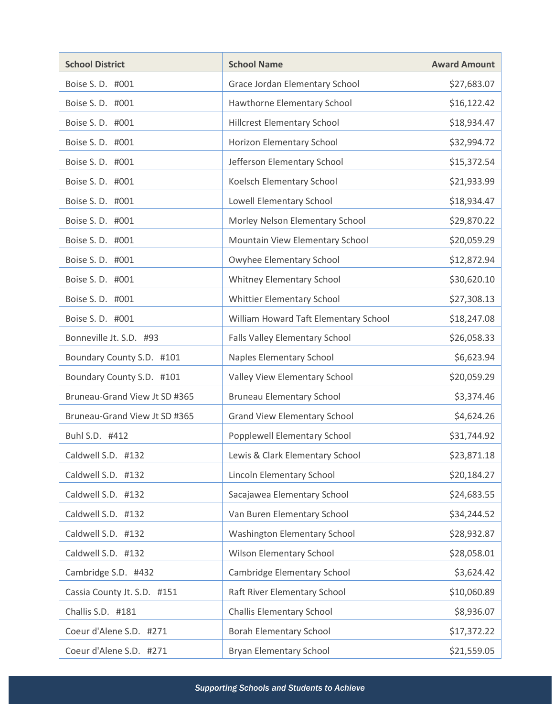| <b>School District</b>        | <b>School Name</b>                    | <b>Award Amount</b> |
|-------------------------------|---------------------------------------|---------------------|
| Boise S. D. #001              | Grace Jordan Elementary School        | \$27,683.07         |
| Boise S. D. #001              | Hawthorne Elementary School           | \$16,122.42         |
| Boise S. D. #001              | <b>Hillcrest Elementary School</b>    | \$18,934.47         |
| Boise S. D. #001              | Horizon Elementary School             | \$32,994.72         |
| Boise S. D. #001              | Jefferson Elementary School           | \$15,372.54         |
| Boise S. D. #001              | Koelsch Elementary School             | \$21,933.99         |
| Boise S. D. #001              | Lowell Elementary School              | \$18,934.47         |
| Boise S.D. #001               | Morley Nelson Elementary School       | \$29,870.22         |
| Boise S. D. #001              | Mountain View Elementary School       | \$20,059.29         |
| Boise S. D. #001              | Owyhee Elementary School              | \$12,872.94         |
| Boise S.D. #001               | Whitney Elementary School             | \$30,620.10         |
| Boise S. D. #001              | Whittier Elementary School            | \$27,308.13         |
| Boise S.D. #001               | William Howard Taft Elementary School | \$18,247.08         |
| Bonneville Jt. S.D. #93       | Falls Valley Elementary School        | \$26,058.33         |
| Boundary County S.D. #101     | Naples Elementary School              | \$6,623.94          |
| Boundary County S.D. #101     | Valley View Elementary School         | \$20,059.29         |
| Bruneau-Grand View Jt SD #365 | <b>Bruneau Elementary School</b>      | \$3,374.46          |
| Bruneau-Grand View Jt SD #365 | <b>Grand View Elementary School</b>   | \$4,624.26          |
| Buhl S.D. #412                | Popplewell Elementary School          | \$31,744.92         |
| Caldwell S.D. #132            | Lewis & Clark Elementary School       | \$23,871.18         |
| Caldwell S.D. #132            | Lincoln Elementary School             | \$20,184.27         |
| Caldwell S.D. #132            | Sacajawea Elementary School           | \$24,683.55         |
| Caldwell S.D. #132            | Van Buren Elementary School           | \$34,244.52         |
| Caldwell S.D. #132            | <b>Washington Elementary School</b>   | \$28,932.87         |
| Caldwell S.D. #132            | <b>Wilson Elementary School</b>       | \$28,058.01         |
| Cambridge S.D. #432           | Cambridge Elementary School           | \$3,624.42          |
| Cassia County Jt. S.D. #151   | Raft River Elementary School          | \$10,060.89         |
| Challis S.D. #181             | <b>Challis Elementary School</b>      | \$8,936.07          |
| Coeur d'Alene S.D. #271       | <b>Borah Elementary School</b>        | \$17,372.22         |
| Coeur d'Alene S.D. #271       | <b>Bryan Elementary School</b>        | \$21,559.05         |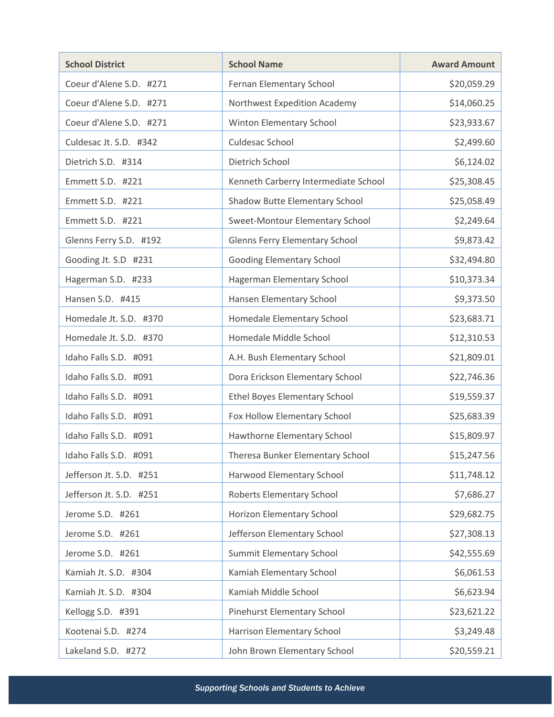| <b>School District</b>  | <b>School Name</b>                    | <b>Award Amount</b> |
|-------------------------|---------------------------------------|---------------------|
| Coeur d'Alene S.D. #271 | Fernan Elementary School              | \$20,059.29         |
| Coeur d'Alene S.D. #271 | Northwest Expedition Academy          | \$14,060.25         |
| Coeur d'Alene S.D. #271 | Winton Elementary School              | \$23,933.67         |
| Culdesac Jt. S.D. #342  | Culdesac School                       | \$2,499.60          |
| Dietrich S.D. #314      | Dietrich School                       | \$6,124.02          |
| Emmett S.D. #221        | Kenneth Carberry Intermediate School  | \$25,308.45         |
| Emmett S.D. #221        | Shadow Butte Elementary School        | \$25,058.49         |
| Emmett S.D. #221        | Sweet-Montour Elementary School       | \$2,249.64          |
| Glenns Ferry S.D. #192  | <b>Glenns Ferry Elementary School</b> | \$9,873.42          |
| Gooding Jt. S.D #231    | Gooding Elementary School             | \$32,494.80         |
| Hagerman S.D. #233      | Hagerman Elementary School            | \$10,373.34         |
| Hansen S.D. #415        | Hansen Elementary School              | \$9,373.50          |
| Homedale Jt. S.D. #370  | Homedale Elementary School            | \$23,683.71         |
| Homedale Jt. S.D. #370  | Homedale Middle School                | \$12,310.53         |
| Idaho Falls S.D. #091   | A.H. Bush Elementary School           | \$21,809.01         |
| Idaho Falls S.D. #091   | Dora Erickson Elementary School       | \$22,746.36         |
| Idaho Falls S.D. #091   | <b>Ethel Boyes Elementary School</b>  | \$19,559.37         |
| Idaho Falls S.D. #091   | Fox Hollow Elementary School          | \$25,683.39         |
| Idaho Falls S.D. #091   | Hawthorne Elementary School           | \$15,809.97         |
| Idaho Falls S.D. #091   | Theresa Bunker Elementary School      | \$15,247.56         |
| Jefferson Jt. S.D. #251 | Harwood Elementary School             | \$11,748.12         |
| Jefferson Jt. S.D. #251 | Roberts Elementary School             | \$7,686.27          |
| Jerome S.D. #261        | Horizon Elementary School             | \$29,682.75         |
| Jerome S.D. #261        | Jefferson Elementary School           | \$27,308.13         |
| Jerome S.D. #261        | Summit Elementary School              | \$42,555.69         |
| Kamiah Jt. S.D. #304    | Kamiah Elementary School              | \$6,061.53          |
| Kamiah Jt. S.D. #304    | Kamiah Middle School                  | \$6,623.94          |
| Kellogg S.D. #391       | Pinehurst Elementary School           | \$23,621.22         |
| Kootenai S.D. #274      | Harrison Elementary School            | \$3,249.48          |
| Lakeland S.D. #272      | John Brown Elementary School          | \$20,559.21         |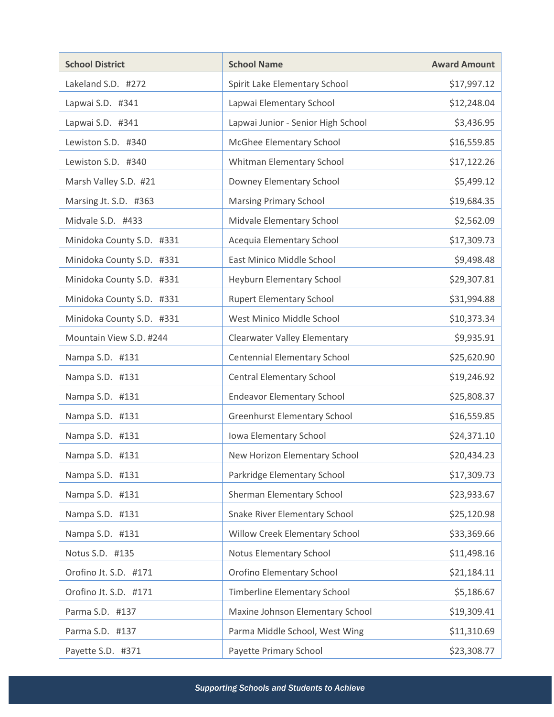| <b>School District</b>    | <b>School Name</b>                  | <b>Award Amount</b> |
|---------------------------|-------------------------------------|---------------------|
| Lakeland S.D. #272        | Spirit Lake Elementary School       | \$17,997.12         |
| Lapwai S.D. #341          | Lapwai Elementary School            | \$12,248.04         |
| Lapwai S.D. #341          | Lapwai Junior - Senior High School  | \$3,436.95          |
| Lewiston S.D. #340        | McGhee Elementary School            | \$16,559.85         |
| Lewiston S.D. #340        | Whitman Elementary School           | \$17,122.26         |
| Marsh Valley S.D. #21     | Downey Elementary School            | \$5,499.12          |
| Marsing Jt. S.D. #363     | <b>Marsing Primary School</b>       | \$19,684.35         |
| Midvale S.D. #433         | Midvale Elementary School           | \$2,562.09          |
| Minidoka County S.D. #331 | Acequia Elementary School           | \$17,309.73         |
| Minidoka County S.D. #331 | East Minico Middle School           | \$9,498.48          |
| Minidoka County S.D. #331 | Heyburn Elementary School           | \$29,307.81         |
| Minidoka County S.D. #331 | <b>Rupert Elementary School</b>     | \$31,994.88         |
| Minidoka County S.D. #331 | West Minico Middle School           | \$10,373.34         |
| Mountain View S.D. #244   | <b>Clearwater Valley Elementary</b> | \$9,935.91          |
| Nampa S.D. #131           | Centennial Elementary School        | \$25,620.90         |
| Nampa S.D. #131           | <b>Central Elementary School</b>    | \$19,246.92         |
| Nampa S.D. #131           | <b>Endeavor Elementary School</b>   | \$25,808.37         |
| Nampa S.D. #131           | <b>Greenhurst Elementary School</b> | \$16,559.85         |
| Nampa S.D. #131           | Iowa Elementary School              | \$24,371.10         |
| Nampa S.D. #131           | New Horizon Elementary School       | \$20,434.23         |
| Nampa S.D. #131           | Parkridge Elementary School         | \$17,309.73         |
| Nampa S.D. #131           | Sherman Elementary School           | \$23,933.67         |
| Nampa S.D. #131           | Snake River Elementary School       | \$25,120.98         |
| Nampa S.D. #131           | Willow Creek Elementary School      | \$33,369.66         |
| Notus S.D. #135           | Notus Elementary School             | \$11,498.16         |
| Orofino Jt. S.D. #171     | Orofino Elementary School           | \$21,184.11         |
| Orofino Jt. S.D. #171     | Timberline Elementary School        | \$5,186.67          |
| Parma S.D. #137           | Maxine Johnson Elementary School    | \$19,309.41         |
| Parma S.D. #137           | Parma Middle School, West Wing      | \$11,310.69         |
| Payette S.D. #371         | Payette Primary School              | \$23,308.77         |